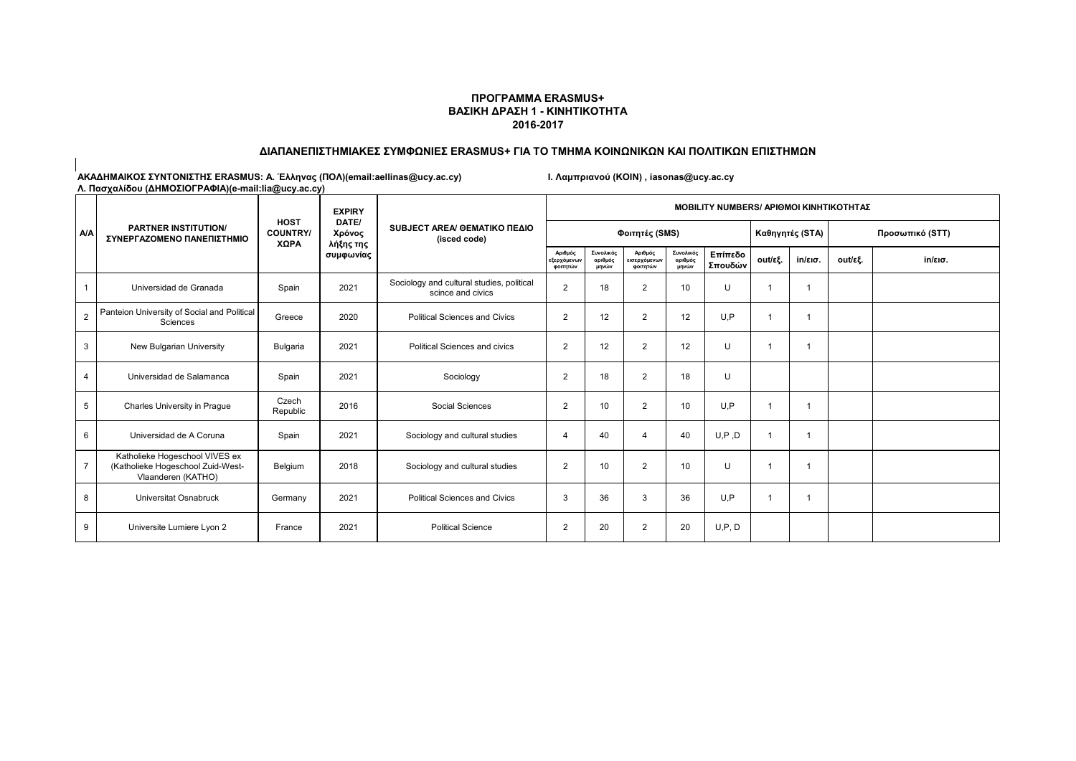#### **ΠΡΟΓΡΑΜΜΑ ERASMUS+ ΒΑΣΙΚΗ ΔΡΑΣΗ 1 - ΚΙΝΗΤΙΚΟΤΗΤΑ 2016-2017**

#### **ΔΙΑΠΑΝΕΠΙΣΤΗΜΙΑΚΕΣ ΣΥΜΦΩΝΙΕΣ ERASMUS+ ΓΙΑ ΤΟ ΤΜΗΜΑ ΚΟΙΝΩΝΙΚΩΝ ΚΑΙ ΠΟΛΙΤΙΚΩΝ ΕΠΙΣΤΗΜΩΝ**

|                | <b>PARTNER INSTITUTION/</b><br>ΣΥΝΕΡΓΑΖΟΜΕΝΟ ΠΑΝΕΠΙΣΤΗΜΙΟ                                 |                                        | <b>EXPIRY</b>                             | SUBJECT AREA/ GEMATIKO ΠΕΔΙΟ<br>(isced code)                   | <b>MOBILITY NUMBERS/ ΑΡΙΘΜΟΙ ΚΙΝΗΤΙΚΟΤΗΤΑΣ</b> |                               |                                     |                               |                    |         |                   |                 |                   |  |
|----------------|-------------------------------------------------------------------------------------------|----------------------------------------|-------------------------------------------|----------------------------------------------------------------|------------------------------------------------|-------------------------------|-------------------------------------|-------------------------------|--------------------|---------|-------------------|-----------------|-------------------|--|
| <b>A/A</b>     |                                                                                           | <b>HOST</b><br><b>COUNTRY/</b><br>ΧΩΡΑ | DATE/<br>Χρόνος<br>λήξης της<br>συμφωνίας |                                                                |                                                |                               | Φοιτητές (SMS)                      |                               |                    |         | Καθηγητές (STA)   | Προσωπικό (STT) |                   |  |
|                |                                                                                           |                                        |                                           |                                                                | Αριθμός<br>εξερχόμενων<br>φοιτητών             | Συνολικός<br>αριθμός<br>μηνών | Αριθμός<br>εισερχόμενων<br>φοιτητών | Συνολικός<br>αριθμός<br>μηνών | Επίπεδο<br>Σπουδών | out/εξ. | $in/\epsilon$ ισ. | out/εξ.         | $in/\epsilon$ ισ. |  |
|                | Universidad de Granada                                                                    | Spain                                  | 2021                                      | Sociology and cultural studies, political<br>scince and civics | $\overline{2}$                                 | 18                            | 2                                   | 10                            | U                  |         |                   |                 |                   |  |
| $\overline{2}$ | Panteion University of Social and Political<br>Sciences                                   | Greece                                 | 2020                                      | <b>Political Sciences and Civics</b>                           | $\overline{2}$                                 | 12                            | $\overline{2}$                      | 12                            | U.P                |         |                   |                 |                   |  |
| 3              | New Bulgarian University                                                                  | Bulgaria                               | 2021                                      | <b>Political Sciences and civics</b>                           | $\overline{2}$                                 | 12                            | $\overline{2}$                      | 12                            | U                  |         |                   |                 |                   |  |
| $\overline{4}$ | Universidad de Salamanca                                                                  | Spain                                  | 2021                                      | Sociology                                                      | $\overline{2}$                                 | 18                            | $\overline{2}$                      | 18                            | U                  |         |                   |                 |                   |  |
| 5              | Charles University in Praque                                                              | Czech<br>Republic                      | 2016                                      | Social Sciences                                                | $\overline{2}$                                 | 10                            | $\overline{2}$                      | 10                            | U.P                |         |                   |                 |                   |  |
| 6              | Universidad de A Coruna                                                                   | Spain                                  | 2021                                      | Sociology and cultural studies                                 |                                                | 40                            | $\overline{\mathbf{A}}$             | 40                            | U, P, D            |         |                   |                 |                   |  |
|                | Katholieke Hogeschool VIVES ex<br>(Katholieke Hogeschool Zuid-West-<br>Vlaanderen (KATHO) | Belgium                                | 2018                                      | Sociology and cultural studies                                 | $\overline{2}$                                 | 10                            | $\overline{2}$                      | 10                            | U                  |         |                   |                 |                   |  |
| 8              | Universitat Osnabruck                                                                     | Germany                                | 2021                                      | <b>Political Sciences and Civics</b>                           | 3                                              | 36                            | 3                                   | 36                            | U.P                |         |                   |                 |                   |  |
| 9              | Universite Lumiere Lyon 2                                                                 | France                                 | 2021                                      | <b>Political Science</b>                                       | $\overline{2}$                                 | 20                            | 2                                   | 20                            | U, P, D            |         |                   |                 |                   |  |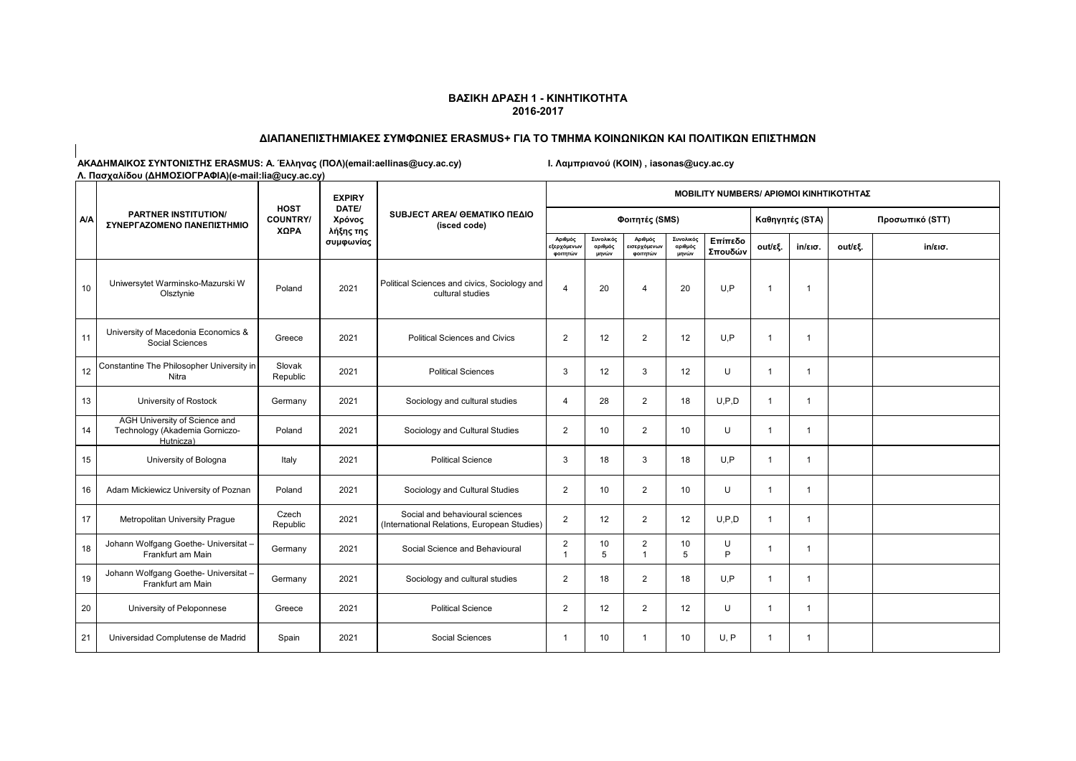# **ΔΙΑΠΑΝΕΠΙΣΤΗΜΙΑΚΕΣ ΣΥΜΦΩΝΙΕΣ ERASMUS+ ΓΙΑ ΤΟ ΤΜΗΜΑ ΚΟΙΝΩΝΙΚΩΝ ΚΑΙ ΠΟΛΙΤΙΚΩΝ ΕΠΙΣΤΗΜΩΝ**

| <b>A/A</b> | <b>PARTNER INSTITUTION/</b><br>ΣΥΝΕΡΓΑΖΟΜΕΝΟ ΠΑΝΕΠΙΣΤΗΜΙΟ                    |                                        | <b>EXPIRY</b>                |                                                                                | <b>MOBILITY NUMBERS/ APIOMOI KINHTIKOTHTAZ</b> |                               |                                     |                               |                    |                |                   |                 |                   |  |
|------------|------------------------------------------------------------------------------|----------------------------------------|------------------------------|--------------------------------------------------------------------------------|------------------------------------------------|-------------------------------|-------------------------------------|-------------------------------|--------------------|----------------|-------------------|-----------------|-------------------|--|
|            |                                                                              | <b>HOST</b><br><b>COUNTRY/</b><br>ΧΩΡΑ | DATE/<br>Χρόνος<br>λήξης της | SUBJECT AREA/ GEMATIKO ΠΕΔΙΟ<br>(isced code)                                   |                                                |                               | Φοιτητές (SMS)                      |                               |                    |                | Καθηγητές (STA)   | Προσωπικό (STT) |                   |  |
|            |                                                                              |                                        | συμφωνίας                    |                                                                                | Αριθμός<br><b>ξερχόμενω</b> ν<br>φοιτητών      | Συνολικός<br>αριθμός<br>μηνών | Αριθμός<br>εισερχόμενων<br>φοιτητών | Συνολικός<br>αριθμός<br>μηνών | Επίπεδο<br>Σπουδών | out/εξ.        | $in/\epsilon$ ισ. | out/εξ.         | $in/\epsilon$ ισ. |  |
| 10         | Uniwersytet Warminsko-Mazurski W<br>Olsztynie                                | Poland                                 | 2021                         | Political Sciences and civics, Sociology and<br>cultural studies               | $\boldsymbol{\Lambda}$                         | 20                            | $\overline{4}$                      | 20                            | U.P                | $\overline{1}$ | -1                |                 |                   |  |
| 11         | University of Macedonia Economics &<br>Social Sciences                       | Greece                                 | 2021                         | <b>Political Sciences and Civics</b>                                           | $\overline{2}$                                 | 12                            | $\overline{2}$                      | 12                            | U.P                | $\overline{1}$ | $\mathbf 1$       |                 |                   |  |
| 12         | Constantine The Philosopher University in<br>Nitra                           | Slovak<br>Republic                     | 2021                         | <b>Political Sciences</b>                                                      | 3                                              | 12                            | 3                                   | 12                            | U                  | $\mathbf{1}$   | $\mathbf{1}$      |                 |                   |  |
| 13         | University of Rostock                                                        | Germany                                | 2021                         | Sociology and cultural studies                                                 | $\boldsymbol{\varDelta}$                       | 28                            | $\overline{2}$                      | 18                            | U.P.D              | $\mathbf{1}$   | $\overline{1}$    |                 |                   |  |
| 14         | AGH University of Science and<br>Technology (Akademia Gorniczo-<br>Hutnicza) | Poland                                 | 2021                         | Sociology and Cultural Studies                                                 | $\overline{2}$                                 | 10                            | $\overline{2}$                      | 10                            | U                  | $\mathbf{1}$   | $\mathbf{1}$      |                 |                   |  |
| 15         | University of Bologna                                                        | Italy                                  | 2021                         | <b>Political Science</b>                                                       | 3                                              | 18                            | 3                                   | 18                            | U.P                | $\mathbf 1$    | -1                |                 |                   |  |
| 16         | Adam Mickiewicz University of Poznan                                         | Poland                                 | 2021                         | Sociology and Cultural Studies                                                 | $\overline{2}$                                 | 10                            | $\overline{2}$                      | 10                            | U                  | $\overline{1}$ | $\overline{1}$    |                 |                   |  |
| 17         | Metropolitan University Prague                                               | Czech<br>Republic                      | 2021                         | Social and behavioural sciences<br>(International Relations, European Studies) | $\overline{2}$                                 | 12                            | $\overline{2}$                      | 12                            | U.P.D              | $\mathbf{1}$   | $\mathbf{1}$      |                 |                   |  |
| 18         | Johann Wolfgang Goethe- Universitat -<br>Frankfurt am Main                   | Germany                                | 2021                         | Social Science and Behavioural                                                 | $\overline{2}$<br>$\overline{1}$               | 10<br>5                       | $\overline{2}$<br>$\mathbf{1}$      | 10<br>5                       | U<br>P             | -1             | -1                |                 |                   |  |
| 19         | Johann Wolfgang Goethe- Universitat -<br>Frankfurt am Main                   | Germany                                | 2021                         | Sociology and cultural studies                                                 | $\overline{2}$                                 | 18                            | $\overline{2}$                      | 18                            | U.P                | $\mathbf{1}$   | $\overline{1}$    |                 |                   |  |
| 20         | University of Peloponnese                                                    | Greece                                 | 2021                         | <b>Political Science</b>                                                       | $\overline{2}$                                 | 12                            | $\overline{2}$                      | 12                            | U                  | $\overline{1}$ | $\overline{1}$    |                 |                   |  |
| 21         | Universidad Complutense de Madrid                                            | Spain                                  | 2021                         | Social Sciences                                                                | -1                                             | 10                            | $\mathbf{1}$                        | 10                            | U, P               | $\overline{1}$ | $\overline{1}$    |                 |                   |  |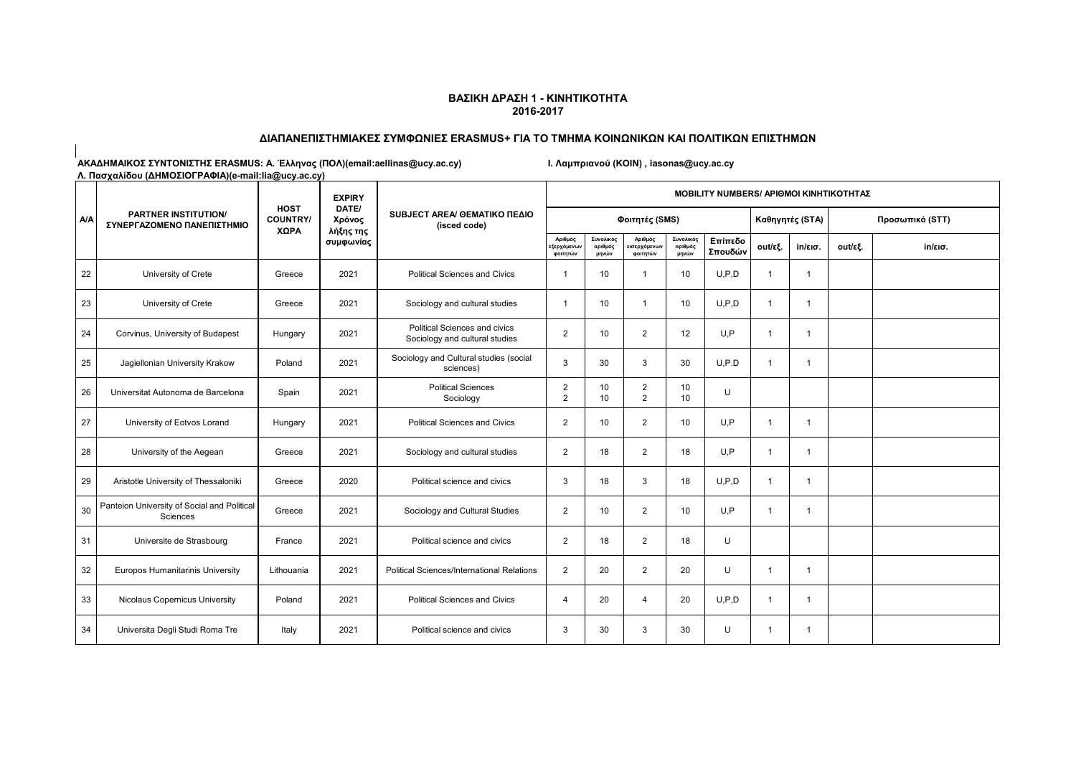# **ΔΙΑΠΑΝΕΠΙΣΤΗΜΙΑΚΕΣ ΣΥΜΦΩΝΙΕΣ ERASMUS+ ΓΙΑ ΤΟ ΤΜΗΜΑ ΚΟΙΝΩΝΙΚΩΝ ΚΑΙ ΠΟΛΙΤΙΚΩΝ ΕΠΙΣΤΗΜΩΝ**

| <b>A/A</b> | <b>PARTNER INSTITUTION/</b><br>ΣΥΝΕΡΓΑΖΟΜΕΝΟ ΠΑΝΕΠΙΣΤΗΜΙΟ |                                        | <b>EXPIRY</b>                | SUBJECT AREA/ GEMATIKO ΠΕΔΙΟ<br>(isced code)                    | <b>MOBILITY NUMBERS/ APIOMOI KINHTIKOTHTAZ</b> |                               |                                     |                               |                    |                |                         |                 |                   |  |
|------------|-----------------------------------------------------------|----------------------------------------|------------------------------|-----------------------------------------------------------------|------------------------------------------------|-------------------------------|-------------------------------------|-------------------------------|--------------------|----------------|-------------------------|-----------------|-------------------|--|
|            |                                                           | <b>HOST</b><br><b>COUNTRY/</b><br>ΧΩΡΑ | DATE/<br>Χρόνος<br>λήξης της |                                                                 |                                                |                               | Φοιτητές (SMS)                      |                               |                    |                | Καθηγητές (STA)         | Προσωπικό (STT) |                   |  |
|            |                                                           |                                        | συμφωνίας                    |                                                                 | Αριθμός<br>εξερχόμενων<br>φοιτητών             | Συνολικός<br>αριθμός<br>μηνών | Αριθμός<br>εισερχόμενων<br>φοιτητών | Συνολικός<br>αριθμός<br>μηνών | Επίπεδο<br>Σπουδών | out/εξ.        | $in$ /εισ.              | out/εξ.         | $in/\epsilon$ ισ. |  |
| 22         | University of Crete                                       | Greece                                 | 2021                         | <b>Political Sciences and Civics</b>                            | -1                                             | 10                            | 1                                   | 10                            | U.P.D              | $\overline{1}$ | $\overline{1}$          |                 |                   |  |
| 23         | University of Crete                                       | Greece                                 | 2021                         | Sociology and cultural studies                                  | -1                                             | 10                            | $\blacktriangleleft$                | 10                            | U.P.D              | $\overline{1}$ | $\overline{1}$          |                 |                   |  |
| 24         | Corvinus, University of Budapest                          | Hungary                                | 2021                         | Political Sciences and civics<br>Sociology and cultural studies | 2                                              | 10                            | $\overline{2}$                      | 12                            | U.P                | $\overline{1}$ | $\overline{\mathbf{1}}$ |                 |                   |  |
| 25         | Jagiellonian University Krakow                            | Poland                                 | 2021                         | Sociology and Cultural studies (social<br>sciences)             | 3                                              | 30                            | 3                                   | 30                            | U.P.D              | $\overline{1}$ | $\mathbf{1}$            |                 |                   |  |
| 26         | Universitat Autonoma de Barcelona                         | Spain                                  | 2021                         | <b>Political Sciences</b><br>Sociology                          | $\overline{2}$<br>2                            | 10<br>10                      | $\overline{2}$<br>$\overline{2}$    | 10<br>10                      | U                  |                |                         |                 |                   |  |
| 27         | University of Eotvos Lorand                               | Hungary                                | 2021                         | <b>Political Sciences and Civics</b>                            | 2                                              | 10                            | $\overline{2}$                      | 10                            | U.P                | $\overline{1}$ | $\overline{1}$          |                 |                   |  |
| 28         | University of the Aegean                                  | Greece                                 | 2021                         | Sociology and cultural studies                                  | $\overline{2}$                                 | 18                            | $\overline{2}$                      | 18                            | U,P                | $\overline{1}$ | $\overline{1}$          |                 |                   |  |
| 29         | Aristotle University of Thessaloniki                      | Greece                                 | 2020                         | Political science and civics                                    | 3                                              | 18                            | 3                                   | 18                            | U.P.D              | $\mathbf{1}$   | $\overline{1}$          |                 |                   |  |
| 30         | Panteion University of Social and Political<br>Sciences   | Greece                                 | 2021                         | Sociology and Cultural Studies                                  | $\overline{2}$                                 | 10                            | $\overline{2}$                      | 10                            | U.P                | $\mathbf{1}$   | $\mathbf{1}$            |                 |                   |  |
| 31         | Universite de Strasbourg                                  | France                                 | 2021                         | Political science and civics                                    | $\overline{2}$                                 | 18                            | $\overline{2}$                      | 18                            | U                  |                |                         |                 |                   |  |
| 32         | Europos Humanitarinis University                          | Lithouania                             | 2021                         | Political Sciences/International Relations                      | 2                                              | 20                            | $\overline{2}$                      | 20                            | U                  | $\overline{1}$ | $\overline{1}$          |                 |                   |  |
| 33         | Nicolaus Copernicus University                            | Poland                                 | 2021                         | <b>Political Sciences and Civics</b>                            | $\overline{4}$                                 | 20                            | $\overline{4}$                      | 20                            | U.P.D              | $\overline{1}$ | $\mathbf{1}$            |                 |                   |  |
| 34         | Universita Degli Studi Roma Tre                           | Italy                                  | 2021                         | Political science and civics                                    | 3                                              | 30                            | 3                                   | 30                            | $\cup$             | $\overline{1}$ | -1                      |                 |                   |  |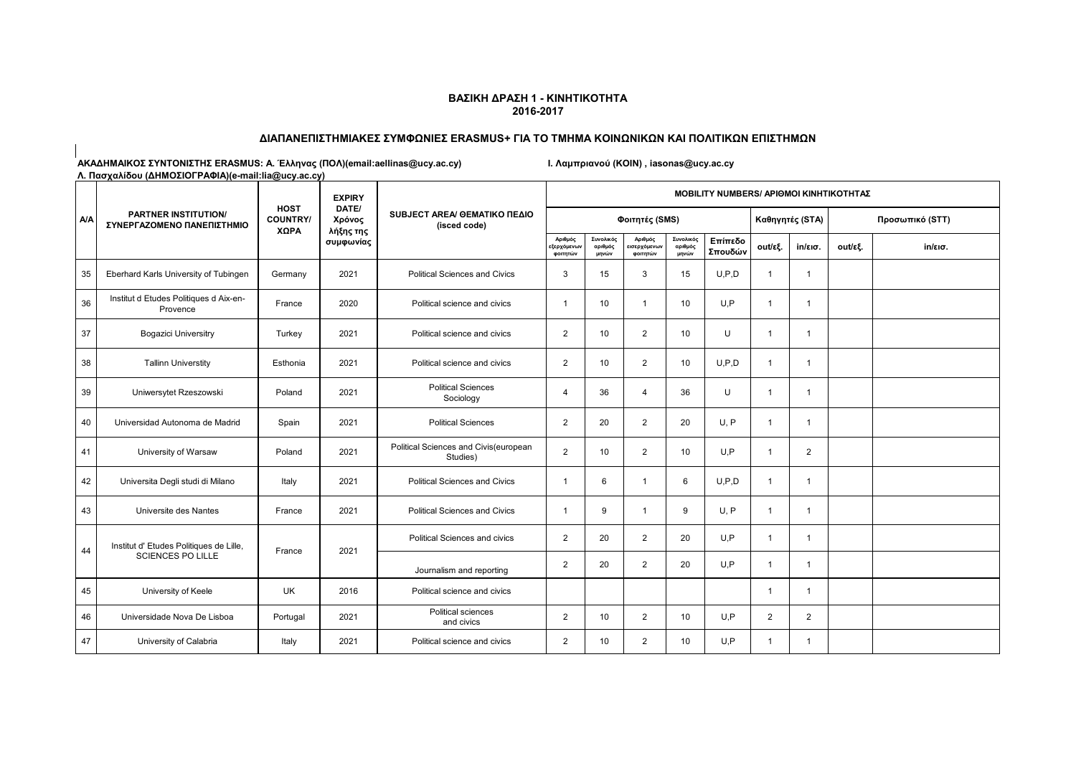# **ΔΙΑΠΑΝΕΠΙΣΤΗΜΙΑΚΕΣ ΣΥΜΦΩΝΙΕΣ ERASMUS+ ΓΙΑ ΤΟ ΤΜΗΜΑ ΚΟΙΝΩΝΙΚΩΝ ΚΑΙ ΠΟΛΙΤΙΚΩΝ ΕΠΙΣΤΗΜΩΝ**

| $1.41$ and $2.41$ and $2.41$ and $2.41$ and $2.41$ and $2.41$ and $2.41$ and $2.41$ and $2.41$ and $2.41$ and $2.41$ and $2.41$ and $2.41$ and $2.41$ and $2.41$ and $2.41$ and $2.41$ and $2.41$ and $2.41$ and $2.41$ and | <b>PARTNER INSTITUTION/</b><br>ΣΥΝΕΡΓΑΖΟΜΕΝΟ ΠΑΝΕΠΙΣΤΗΜΙΟ | <b>HOST</b><br><b>COUNTRY/</b><br>ΧΩΡΑ |                              |                                                   |                                    |                               | <b>EXPIRY</b>                       |                               |                    | <b>MOBILITY NUMBERS/ APIOMOI KINHTIKOTHTAZ</b> |                   |                 |         |  |  |  |  |  |  |
|-----------------------------------------------------------------------------------------------------------------------------------------------------------------------------------------------------------------------------|-----------------------------------------------------------|----------------------------------------|------------------------------|---------------------------------------------------|------------------------------------|-------------------------------|-------------------------------------|-------------------------------|--------------------|------------------------------------------------|-------------------|-----------------|---------|--|--|--|--|--|--|
| <b>A/A</b>                                                                                                                                                                                                                  |                                                           |                                        | DATE/<br>Χρόνος<br>λήξης της | SUBJECT AREA/ GEMATIKO ΠΕΔΙΟ<br>(isced code)      |                                    |                               | Φοιτητές (SMS)                      |                               |                    |                                                | Καθηγητές (STA)   | Προσωπικό (STT) |         |  |  |  |  |  |  |
|                                                                                                                                                                                                                             |                                                           |                                        | συμφωνίας                    |                                                   | Αριθμός<br>εξερχόμενων<br>φοιτητών | Συνολικός<br>αριθμός<br>μηνών | Αριθμός<br>εισερχόμενων<br>φοιτητών | Συνολικός<br>αριθμός<br>μηνών | Επίπεδο<br>Σπουδών | out/εξ.                                        | $in/\epsilon$ ισ. | out/εξ.         | in/εισ. |  |  |  |  |  |  |
| 35                                                                                                                                                                                                                          | Eberhard Karls University of Tubingen                     | Germany                                | 2021                         | <b>Political Sciences and Civics</b>              | 3                                  | 15                            | 3                                   | 15                            | U, P, D            | $\overline{1}$                                 | $\overline{1}$    |                 |         |  |  |  |  |  |  |
| 36                                                                                                                                                                                                                          | Institut d Etudes Politiques d Aix-en-<br>Provence        | France                                 | 2020                         | Political science and civics                      | $\mathbf{1}$                       | 10                            | $\mathbf{1}$                        | 10                            | U.P                | $\mathbf{1}$                                   | $\overline{1}$    |                 |         |  |  |  |  |  |  |
| 37                                                                                                                                                                                                                          | <b>Bogazici Universitry</b>                               | Turkey                                 | 2021                         | Political science and civics                      | $\overline{2}$                     | 10                            | $\overline{2}$                      | 10                            | $\cup$             | $\overline{1}$                                 | $\mathbf{1}$      |                 |         |  |  |  |  |  |  |
| 38                                                                                                                                                                                                                          | <b>Tallinn Universtity</b>                                | Esthonia                               | 2021                         | Political science and civics                      | $\overline{2}$                     | 10                            | $\overline{2}$                      | 10                            | U.P.D              | $\overline{1}$                                 | $\mathbf{1}$      |                 |         |  |  |  |  |  |  |
| 39                                                                                                                                                                                                                          | Uniwersytet Rzeszowski                                    | Poland                                 | 2021                         | <b>Political Sciences</b><br>Sociology            | $\overline{4}$                     | 36                            | 4                                   | 36                            | U                  | $\overline{1}$                                 | $\mathbf 1$       |                 |         |  |  |  |  |  |  |
| 40                                                                                                                                                                                                                          | Universidad Autonoma de Madrid                            | Spain                                  | 2021                         | <b>Political Sciences</b>                         | $\overline{2}$                     | 20                            | $\overline{2}$                      | 20                            | U, P               | $\overline{1}$                                 | $\mathbf{1}$      |                 |         |  |  |  |  |  |  |
| 41                                                                                                                                                                                                                          | University of Warsaw                                      | Poland                                 | 2021                         | Political Sciences and Civis(european<br>Studies) | $\overline{2}$                     | 10                            | $\overline{2}$                      | 10                            | U.P                | $\overline{1}$                                 | $\overline{2}$    |                 |         |  |  |  |  |  |  |
| 42                                                                                                                                                                                                                          | Universita Degli studi di Milano                          | Italy                                  | 2021                         | <b>Political Sciences and Civics</b>              | $\mathbf{1}$                       | 6                             | $\mathbf{1}$                        | 6                             | U.P.D              | $\mathbf{1}$                                   | $\mathbf{1}$      |                 |         |  |  |  |  |  |  |
| 43                                                                                                                                                                                                                          | Universite des Nantes                                     | France                                 | 2021                         | Political Sciences and Civics                     | $\overline{1}$                     | 9                             | $\mathbf{1}$                        | 9                             | U, P               | $\overline{1}$                                 | $\mathbf{1}$      |                 |         |  |  |  |  |  |  |
| 44                                                                                                                                                                                                                          | Institut d' Etudes Politiques de Lille,                   | France                                 | 2021                         | Political Sciences and civics                     | $\overline{2}$                     | 20                            | $\overline{2}$                      | 20                            | U.P                | $\overline{1}$                                 | $\overline{1}$    |                 |         |  |  |  |  |  |  |
|                                                                                                                                                                                                                             | <b>SCIENCES PO LILLE</b>                                  |                                        |                              | Journalism and reporting                          | 2                                  | 20                            | $\overline{2}$                      | 20                            | U.P                | $\overline{1}$                                 | $\overline{1}$    |                 |         |  |  |  |  |  |  |
| 45                                                                                                                                                                                                                          | University of Keele                                       | UK                                     | 2016                         | Political science and civics                      |                                    |                               |                                     |                               |                    | $\overline{1}$                                 | $\overline{1}$    |                 |         |  |  |  |  |  |  |
| 46                                                                                                                                                                                                                          | Universidade Nova De Lisboa                               | Portugal                               | 2021                         | Political sciences<br>and civics                  | 2                                  | 10                            | $\overline{2}$                      | 10                            | U.P                | $\overline{2}$                                 | $\overline{2}$    |                 |         |  |  |  |  |  |  |
| 47                                                                                                                                                                                                                          | University of Calabria                                    | Italy                                  | 2021                         | Political science and civics                      | $\overline{2}$                     | 10                            | $\overline{2}$                      | 10                            | U.P                | $\overline{1}$                                 | -1                |                 |         |  |  |  |  |  |  |